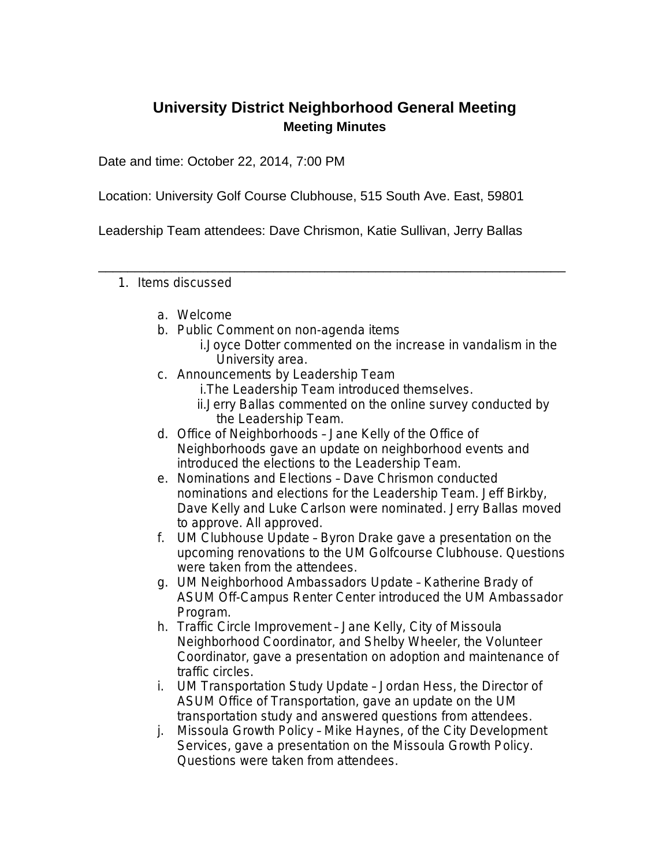## **University District Neighborhood General Meeting Meeting Minutes**

Date and time: October 22, 2014, 7:00 PM

Location: University Golf Course Clubhouse, 515 South Ave. East, 59801

Leadership Team attendees: Dave Chrismon, Katie Sullivan, Jerry Ballas

\_\_\_\_\_\_\_\_\_\_\_\_\_\_\_\_\_\_\_\_\_\_\_\_\_\_\_\_\_\_\_\_\_\_\_\_\_\_\_\_\_\_\_\_\_\_\_\_\_\_\_\_\_\_\_\_\_\_\_\_\_\_\_\_

- 1. Items discussed
	- a. Welcome
	- b. Public Comment on non-agenda items
		- i.Joyce Dotter commented on the increase in vandalism in the University area.
	- c. Announcements by Leadership Team
		- i.The Leadership Team introduced themselves.
		- ii.Jerry Ballas commented on the online survey conducted by the Leadership Team.
	- d. Office of Neighborhoods Jane Kelly of the Office of Neighborhoods gave an update on neighborhood events and introduced the elections to the Leadership Team.
	- e. Nominations and Elections Dave Chrismon conducted nominations and elections for the Leadership Team. Jeff Birkby, Dave Kelly and Luke Carlson were nominated. Jerry Ballas moved to approve. All approved.
	- f. UM Clubhouse Update Byron Drake gave a presentation on the upcoming renovations to the UM Golfcourse Clubhouse. Questions were taken from the attendees.
	- g. UM Neighborhood Ambassadors Update Katherine Brady of ASUM Off-Campus Renter Center introduced the UM Ambassador Program.
	- h. Traffic Circle Improvement Jane Kelly, City of Missoula Neighborhood Coordinator, and Shelby Wheeler, the Volunteer Coordinator, gave a presentation on adoption and maintenance of traffic circles.
	- i. UM Transportation Study Update Jordan Hess, the Director of ASUM Office of Transportation, gave an update on the UM transportation study and answered questions from attendees.
	- j. Missoula Growth Policy Mike Haynes, of the City Development Services, gave a presentation on the Missoula Growth Policy. Questions were taken from attendees.